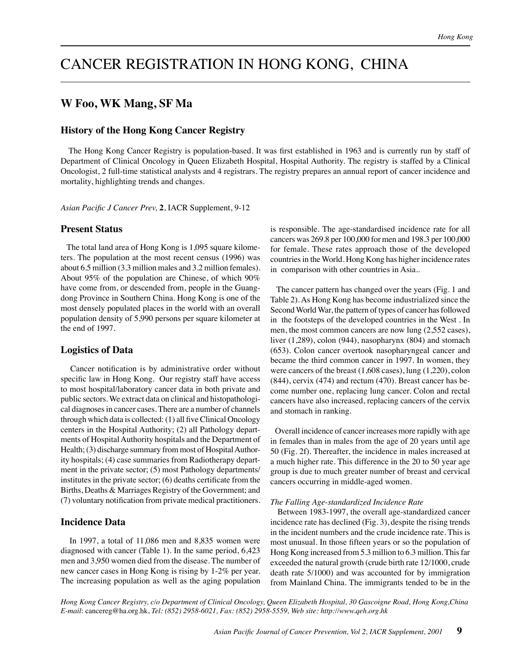# CANCER REGISTRATION IN HONG KONG, CHINA

# **W Foo, WK Mang, SF Ma**

# **History of the Hong Kong Cancer Registry**

 The Hong Kong Cancer Registry is population-based. It was first established in 1963 and is currently run by staff of Department of Clinical Oncology in Queen Elizabeth Hospital, Hospital Authority. The registry is staffed by a Clinical Oncologist, 2 full-time statistical analysts and 4 registrars. The registry prepares an annual report of cancer incidence and mortality, highlighting trends and changes.

*Asian Pacific J Cancer Prev,* **2**, IACR Supplement, 9-12

## **Present Status**

 The total land area of Hong Kong is 1,095 square kilometers. The population at the most recent census (1996) was about 6.5 million (3.3 million males and 3.2 million females). About 95% of the population are Chinese, of which 90% have come from, or descended from, people in the Guangdong Province in Southern China. Hong Kong is one of the most densely populated places in the world with an overall population density of 5,990 persons per square kilometer at the end of 1997.

### **Logistics of Data**

 Cancer notification is by administrative order without specific law in Hong Kong. Our registry staff have access to most hospital/laboratory cancer data in both private and public sectors. We extract data on clinical and histopathological diagnoses in cancer cases. There are a number of channels through which data is collected: (1) all five Clinical Oncology centers in the Hospital Authority; (2) all Pathology departments of Hospital Authority hospitals and the Department of Health; (3) discharge summary from most of Hospital Authority hospitals; (4) case summaries from Radiotherapy department in the private sector; (5) most Pathology departments/ institutes in the private sector; (6) deaths certificate from the Births, Deaths & Marriages Registry of the Government; and (7) voluntary notification from private medical practitioners.

#### **Incidence Data**

 In 1997, a total of 11,086 men and 8,835 women were diagnosed with cancer (Table 1). In the same period, 6,423 men and 3,950 women died from the disease. The number of new cancer cases in Hong Kong is rising by 1-2% per year. The increasing population as well as the aging population is responsible. The age-standardised incidence rate for all cancers was 269.8 per 100,000 for men and 198.3 per 100,000 for female. These rates approach those of the developed countries in the World. Hong Kong has higher incidence rates in comparison with other countries in Asia..

 The cancer pattern has changed over the years (Fig. 1 and Table 2). As Hong Kong has become industrialized since the Second World War, the pattern of types of cancer has followed in the footsteps of the developed countries in the West . In men, the most common cancers are now lung (2,552 cases), liver (1,289), colon (944), nasopharynx (804) and stomach (653). Colon cancer overtook nasopharyngeal cancer and became the third common cancer in 1997. In women, they were cancers of the breast (1,608 cases), lung (1,220), colon (844), cervix (474) and rectum (470). Breast cancer has become number one, replacing lung cancer. Colon and rectal cancers have also increased, replacing cancers of the cervix and stomach in ranking.

 Overall incidence of cancer increases more rapidly with age in females than in males from the age of 20 years until age 50 (Fig. 2f). Thereafter, the incidence in males increased at a much higher rate. This difference in the 20 to 50 year age group is due to much greater number of breast and cervical cancers occurring in middle-aged women.

#### *The Falling Age-standardized Incidence Rate*

 Between 1983-1997, the overall age-standardized cancer incidence rate has declined (Fig. 3), despite the rising trends in the incident numbers and the crude incidence rate. This is most unusual. In those fifteen years or so the population of Hong Kong increased from 5.3 million to 6.3 million. This far exceeded the natural growth (crude birth rate 12/1000, crude death rate 5/1000) and was accounted for by immigration from Mainland China. The immigrants tended to be in the

*Hong Kong Cancer Registry, c/o Department of Clinical Oncology, Queen Elizabeth Hospital, 30 Gascoigne Road, Hong Kong,China E-mail*: cancereg@ha.org.hk, *Tel: (852) 2958-6021, Fax: (852) 2958-5559, Web site: http://www.qeh.org.hk*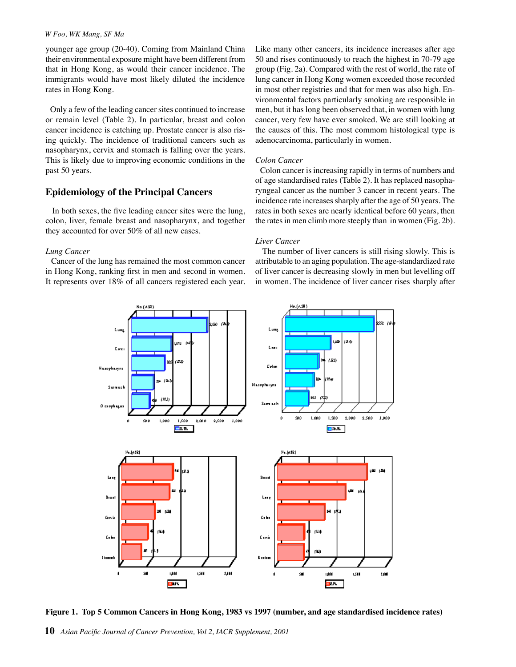#### *W Foo, WK Mang, SF Ma*

younger age group (20-40). Coming from Mainland China their environmental exposure might have been different from that in Hong Kong, as would their cancer incidence. The immigrants would have most likely diluted the incidence rates in Hong Kong.

 Only a few of the leading cancer sites continued to increase or remain level (Table 2). In particular, breast and colon cancer incidence is catching up. Prostate cancer is also rising quickly. The incidence of traditional cancers such as nasopharynx, cervix and stomach is falling over the years. This is likely due to improving economic conditions in the past 50 years.

# **Epidemiology of the Principal Cancers**

 In both sexes, the five leading cancer sites were the lung, colon, liver, female breast and nasopharynx, and together they accounted for over 50% of all new cases.

#### *Lung Cancer*

 Cancer of the lung has remained the most common cancer in Hong Kong, ranking first in men and second in women. It represents over 18% of all cancers registered each year. Like many other cancers, its incidence increases after age 50 and rises continuously to reach the highest in 70-79 age group (Fig. 2a). Compared with the rest of world, the rate of lung cancer in Hong Kong women exceeded those recorded in most other registries and that for men was also high. Environmental factors particularly smoking are responsible in men, but it has long been observed that, in women with lung cancer, very few have ever smoked. We are still looking at the causes of this. The most commom histological type is adenocarcinoma, particularly in women.

#### *Colon Cancer*

 Colon cancer is increasing rapidly in terms of numbers and of age standardised rates (Table 2). It has replaced nasopharyngeal cancer as the number 3 cancer in recent years. The incidence rate increases sharply after the age of 50 years. The rates in both sexes are nearly identical before 60 years, then the rates in men climb more steeply than in women (Fig. 2b).

# *Liver Cancer*

 The number of liver cancers is still rising slowly. This is attributable to an aging population. The age-standardized rate of liver cancer is decreasing slowly in men but levelling off in women. The incidence of liver cancer rises sharply after



**Figure 1. Top 5 Common Cancers in Hong Kong, 1983 vs 1997 (number, and age standardised incidence rates)**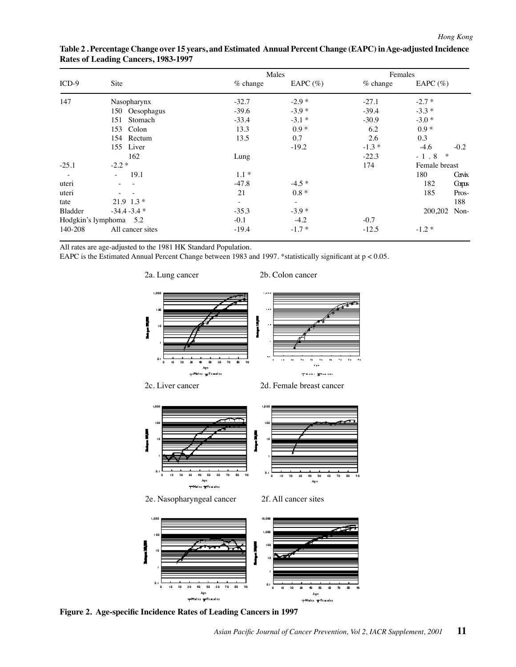| $ICD-9$                | Site             | Males      |                          | Females    |                    |
|------------------------|------------------|------------|--------------------------|------------|--------------------|
|                        |                  | $%$ change | EAPC $(\%)$              | $%$ change | EAPC $(\% )$       |
| 147                    | Nasopharynx      | $-32.7$    | $-2.9*$                  | $-27.1$    | $-2.7*$            |
|                        | 150 Oesophagus   | $-39.6$    | $-3.9*$                  | $-39.4$    | $-3.3*$            |
|                        | Stomach<br>151   | $-33.4$    | $-3.1*$                  | $-30.9$    | $-3.0*$            |
|                        | 153 Colon        | 13.3       | $0.9*$                   | 6.2        | $0.9 *$            |
|                        | 154 Rectum       | 13.5       | 0.7                      | 2.6        | 0.3                |
|                        | 155 Liver        |            | $-19.2$                  | $-1.3*$    | $-4.6$<br>$-0.2$   |
|                        | 162              | Lung       |                          | $-22.3$    | $\ast$<br>$-1.8$   |
| $-25.1$                | $-2.2*$          |            |                          | 174        | Female breast      |
|                        | 19.1<br>$\sim$   | $1.1*$     |                          |            | 180<br>Ceivix      |
| uteri                  |                  | $-47.8$    | $-4.5*$                  |            | 182<br><b>Copy</b> |
| uteri                  |                  | 21         | $0.8 *$                  |            | 185<br>Pros-       |
| tate                   | $21.9$ 1.3 $*$   | $\sim$     | $\overline{\phantom{a}}$ |            | 188                |
| Bladder                | $-34.4 - 3.4$ *  | $-35.3$    | $-3.9*$                  |            | 200,202 Non-       |
| Hodgkin's lymphoma 5.2 |                  | $-0.1$     | $-4.2$                   | $-0.7$     |                    |
| 140-208                | All cancer sites | $-19.4$    | $-1.7*$                  | $-12.5$    | $-1.2*$            |

# **Table 2 . Percentage Change over 15 years, and Estimated Annual Percent Change (EAPC) in Age-adjusted Incidence Rates of Leading Cancers, 1983-1997**

All rates are age-adjusted to the 1981 HK Standard Population.

EAPC is the Estimated Annual Percent Change between 1983 and 1997. \*statistically significant at p < 0.05.



ů.

20

١Ů

2a. Lung cancer 2b. Colon cancer

mittales gelenates

 $\overline{\mathbf{s}}$  $\overline{60}$  $\overline{20}$ 

**Figure 2. Age-specific Incidence Rates of Leading Cancers in 1997**

 $\mathbf{a}$ 

۵ù

Age.

tillales #Females

 $\ddot{\phantom{a}}$ ä,